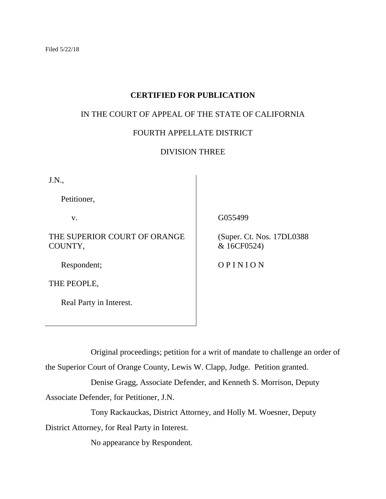# **CERTIFIED FOR PUBLICATION**

# IN THE COURT OF APPEAL OF THE STATE OF CALIFORNIA

# FOURTH APPELLATE DISTRICT

# DIVISION THREE

J.N.,

Petitioner,

v.

THE SUPERIOR COURT OF ORANGE COUNTY,

Respondent;

THE PEOPLE,

Real Party in Interest.

G055499

 (Super. Ct. Nos. 17DL0388 & 16CF0524)

O P I N I O N

Original proceedings; petition for a writ of mandate to challenge an order of

the Superior Court of Orange County, Lewis W. Clapp, Judge. Petition granted.

Denise Gragg, Associate Defender, and Kenneth S. Morrison, Deputy Associate Defender, for Petitioner, J.N.

Tony Rackauckas, District Attorney, and Holly M. Woesner, Deputy

District Attorney, for Real Party in Interest.

No appearance by Respondent.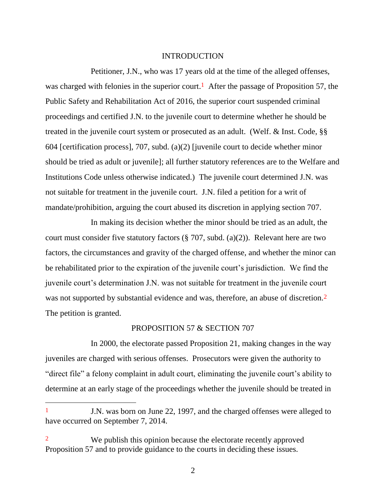#### INTRODUCTION

Petitioner, J.N., who was 17 years old at the time of the alleged offenses, was charged with felonies in the superior court.<sup>1</sup> After the passage of Proposition 57, the Public Safety and Rehabilitation Act of 2016, the superior court suspended criminal proceedings and certified J.N. to the juvenile court to determine whether he should be treated in the juvenile court system or prosecuted as an adult. (Welf. & Inst. Code, §§ 604 [certification process], 707, subd. (a)(2) [juvenile court to decide whether minor should be tried as adult or juvenile]; all further statutory references are to the Welfare and Institutions Code unless otherwise indicated.) The juvenile court determined J.N. was not suitable for treatment in the juvenile court. J.N. filed a petition for a writ of mandate/prohibition, arguing the court abused its discretion in applying section 707.

In making its decision whether the minor should be tried as an adult, the court must consider five statutory factors  $(\frac{8}{9} \cdot 707, \text{ subd.} (a)(2))$ . Relevant here are two factors, the circumstances and gravity of the charged offense, and whether the minor can be rehabilitated prior to the expiration of the juvenile court's jurisdiction. We find the juvenile court's determination J.N. was not suitable for treatment in the juvenile court was not supported by substantial evidence and was, therefore, an abuse of discretion.<sup>2</sup> The petition is granted.

#### PROPOSITION 57 & SECTION 707

In 2000, the electorate passed Proposition 21, making changes in the way juveniles are charged with serious offenses. Prosecutors were given the authority to "direct file" a felony complaint in adult court, eliminating the juvenile court's ability to determine at an early stage of the proceedings whether the juvenile should be treated in

<sup>1</sup> J.N. was born on June 22, 1997, and the charged offenses were alleged to have occurred on September 7, 2014.

<sup>2</sup> We publish this opinion because the electorate recently approved Proposition 57 and to provide guidance to the courts in deciding these issues.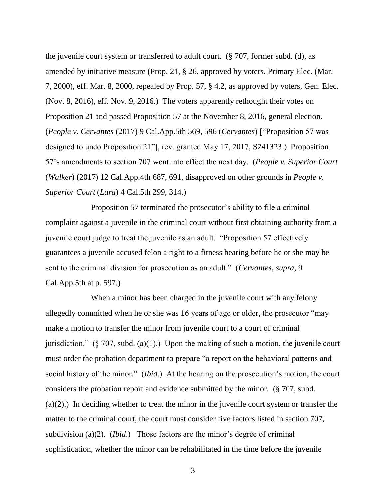the juvenile court system or transferred to adult court. (§ 707, former subd. (d), as amended by initiative measure (Prop. 21, § 26, approved by voters. Primary Elec. (Mar. 7, 2000), eff. Mar. 8, 2000, repealed by Prop. 57, § 4.2, as approved by voters, Gen. Elec. (Nov. 8, 2016), eff. Nov. 9, 2016.) The voters apparently rethought their votes on Proposition 21 and passed Proposition 57 at the November 8, 2016, general election. (*People v. Cervantes* (2017) 9 Cal.App.5th 569, 596 (*Cervantes*) ["Proposition 57 was designed to undo Proposition 21"], rev. granted May 17, 2017, S241323.) Proposition 57's amendments to section 707 went into effect the next day. (*People v. Superior Court*  (*Walker*) (2017) 12 Cal.App.4th 687, 691, disapproved on other grounds in *People v. Superior Court* (*Lara*) 4 Cal.5th 299, 314.)

Proposition 57 terminated the prosecutor's ability to file a criminal complaint against a juvenile in the criminal court without first obtaining authority from a juvenile court judge to treat the juvenile as an adult. "Proposition 57 effectively guarantees a juvenile accused felon a right to a fitness hearing before he or she may be sent to the criminal division for prosecution as an adult." (*Cervantes*, *supra*, 9 Cal.App.5th at p. 597.)

When a minor has been charged in the juvenile court with any felony allegedly committed when he or she was 16 years of age or older, the prosecutor "may make a motion to transfer the minor from juvenile court to a court of criminal jurisdiction." (§ 707, subd. (a)(1).) Upon the making of such a motion, the juvenile court must order the probation department to prepare "a report on the behavioral patterns and social history of the minor." (*Ibid*.) At the hearing on the prosecution's motion, the court considers the probation report and evidence submitted by the minor. (§ 707, subd. (a)(2).) In deciding whether to treat the minor in the juvenile court system or transfer the matter to the criminal court, the court must consider five factors listed in section 707, subdivision (a)(2). (*Ibid*.) Those factors are the minor's degree of criminal sophistication, whether the minor can be rehabilitated in the time before the juvenile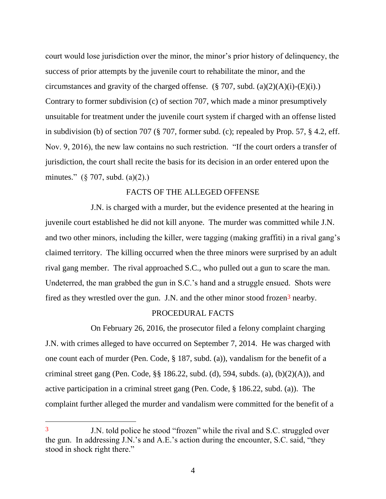court would lose jurisdiction over the minor, the minor's prior history of delinquency, the success of prior attempts by the juvenile court to rehabilitate the minor, and the circumstances and gravity of the charged offense. (§ 707, subd. (a)(2)(A)(i)-(E)(i).) Contrary to former subdivision (c) of section 707, which made a minor presumptively unsuitable for treatment under the juvenile court system if charged with an offense listed in subdivision (b) of section 707 (§ 707, former subd. (c); repealed by Prop. 57, § 4.2, eff. Nov. 9, 2016), the new law contains no such restriction. "If the court orders a transfer of jurisdiction, the court shall recite the basis for its decision in an order entered upon the minutes." (§ 707, subd. (a)(2).)

### FACTS OF THE ALLEGED OFFENSE

J.N. is charged with a murder, but the evidence presented at the hearing in juvenile court established he did not kill anyone. The murder was committed while J.N. and two other minors, including the killer, were tagging (making graffiti) in a rival gang's claimed territory. The killing occurred when the three minors were surprised by an adult rival gang member. The rival approached S.C., who pulled out a gun to scare the man. Undeterred, the man grabbed the gun in S.C.'s hand and a struggle ensued. Shots were fired as they wrestled over the gun. J.N. and the other minor stood frozen<sup>3</sup> nearby.

### PROCEDURAL FACTS

On February 26, 2016, the prosecutor filed a felony complaint charging J.N. with crimes alleged to have occurred on September 7, 2014. He was charged with one count each of murder (Pen. Code, § 187, subd. (a)), vandalism for the benefit of a criminal street gang (Pen. Code,  $\S$ § 186.22, subd. (d), 594, subds. (a), (b)(2)(A)), and active participation in a criminal street gang (Pen. Code, § 186.22, subd. (a)). The complaint further alleged the murder and vandalism were committed for the benefit of a

 $\overline{a}$ 

<sup>3</sup> J.N. told police he stood "frozen" while the rival and S.C. struggled over the gun. In addressing J.N.'s and A.E.'s action during the encounter, S.C. said, "they stood in shock right there."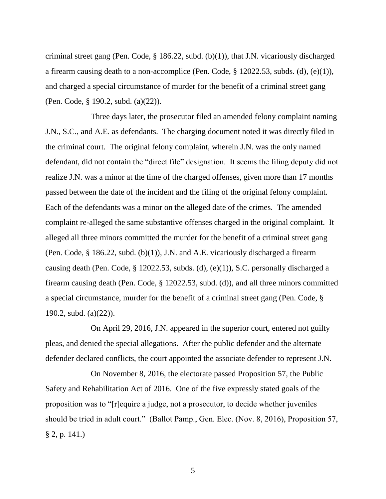criminal street gang (Pen. Code, § 186.22, subd. (b)(1)), that J.N. vicariously discharged a firearm causing death to a non-accomplice (Pen. Code, § 12022.53, subds. (d), (e)(1)), and charged a special circumstance of murder for the benefit of a criminal street gang (Pen. Code, § 190.2, subd. (a)(22)).

Three days later, the prosecutor filed an amended felony complaint naming J.N., S.C., and A.E. as defendants. The charging document noted it was directly filed in the criminal court. The original felony complaint, wherein J.N. was the only named defendant, did not contain the "direct file" designation. It seems the filing deputy did not realize J.N. was a minor at the time of the charged offenses, given more than 17 months passed between the date of the incident and the filing of the original felony complaint. Each of the defendants was a minor on the alleged date of the crimes. The amended complaint re-alleged the same substantive offenses charged in the original complaint. It alleged all three minors committed the murder for the benefit of a criminal street gang (Pen. Code, § 186.22, subd. (b)(1)), J.N. and A.E. vicariously discharged a firearm causing death (Pen. Code, § 12022.53, subds. (d), (e)(1)), S.C. personally discharged a firearm causing death (Pen. Code, § 12022.53, subd. (d)), and all three minors committed a special circumstance, murder for the benefit of a criminal street gang (Pen. Code, § 190.2, subd. (a)(22)).

On April 29, 2016, J.N. appeared in the superior court, entered not guilty pleas, and denied the special allegations. After the public defender and the alternate defender declared conflicts, the court appointed the associate defender to represent J.N.

On November 8, 2016, the electorate passed Proposition 57, the Public Safety and Rehabilitation Act of 2016. One of the five expressly stated goals of the proposition was to "[r]equire a judge, not a prosecutor, to decide whether juveniles should be tried in adult court." (Ballot Pamp., Gen. Elec. (Nov. 8, 2016), Proposition 57,  $§ 2, p. 141.$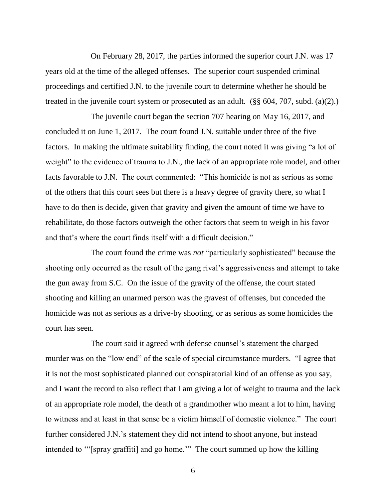On February 28, 2017, the parties informed the superior court J.N. was 17 years old at the time of the alleged offenses. The superior court suspended criminal proceedings and certified J.N. to the juvenile court to determine whether he should be treated in the juvenile court system or prosecuted as an adult. (§§ 604, 707, subd. (a)(2).)

The juvenile court began the section 707 hearing on May 16, 2017, and concluded it on June 1, 2017. The court found J.N. suitable under three of the five factors. In making the ultimate suitability finding, the court noted it was giving "a lot of weight" to the evidence of trauma to J.N., the lack of an appropriate role model, and other facts favorable to J.N. The court commented: "This homicide is not as serious as some of the others that this court sees but there is a heavy degree of gravity there, so what I have to do then is decide, given that gravity and given the amount of time we have to rehabilitate, do those factors outweigh the other factors that seem to weigh in his favor and that's where the court finds itself with a difficult decision."

The court found the crime was *not* "particularly sophisticated" because the shooting only occurred as the result of the gang rival's aggressiveness and attempt to take the gun away from S.C. On the issue of the gravity of the offense, the court stated shooting and killing an unarmed person was the gravest of offenses, but conceded the homicide was not as serious as a drive-by shooting, or as serious as some homicides the court has seen.

The court said it agreed with defense counsel's statement the charged murder was on the "low end" of the scale of special circumstance murders. "I agree that it is not the most sophisticated planned out conspiratorial kind of an offense as you say, and I want the record to also reflect that I am giving a lot of weight to trauma and the lack of an appropriate role model, the death of a grandmother who meant a lot to him, having to witness and at least in that sense be a victim himself of domestic violence." The court further considered J.N.'s statement they did not intend to shoot anyone, but instead intended to '"[spray graffiti] and go home.'" The court summed up how the killing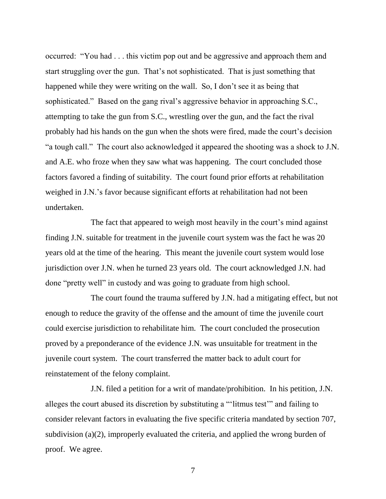occurred: "You had . . . this victim pop out and be aggressive and approach them and start struggling over the gun. That's not sophisticated. That is just something that happened while they were writing on the wall. So, I don't see it as being that sophisticated." Based on the gang rival's aggressive behavior in approaching S.C., attempting to take the gun from S.C., wrestling over the gun, and the fact the rival probably had his hands on the gun when the shots were fired, made the court's decision "a tough call." The court also acknowledged it appeared the shooting was a shock to J.N. and A.E. who froze when they saw what was happening. The court concluded those factors favored a finding of suitability. The court found prior efforts at rehabilitation weighed in J.N.'s favor because significant efforts at rehabilitation had not been undertaken.

The fact that appeared to weigh most heavily in the court's mind against finding J.N. suitable for treatment in the juvenile court system was the fact he was 20 years old at the time of the hearing. This meant the juvenile court system would lose jurisdiction over J.N. when he turned 23 years old. The court acknowledged J.N. had done "pretty well" in custody and was going to graduate from high school.

The court found the trauma suffered by J.N. had a mitigating effect, but not enough to reduce the gravity of the offense and the amount of time the juvenile court could exercise jurisdiction to rehabilitate him. The court concluded the prosecution proved by a preponderance of the evidence J.N. was unsuitable for treatment in the juvenile court system. The court transferred the matter back to adult court for reinstatement of the felony complaint.

J.N. filed a petition for a writ of mandate/prohibition. In his petition, J.N. alleges the court abused its discretion by substituting a "'litmus test'" and failing to consider relevant factors in evaluating the five specific criteria mandated by section 707, subdivision (a)(2), improperly evaluated the criteria, and applied the wrong burden of proof. We agree.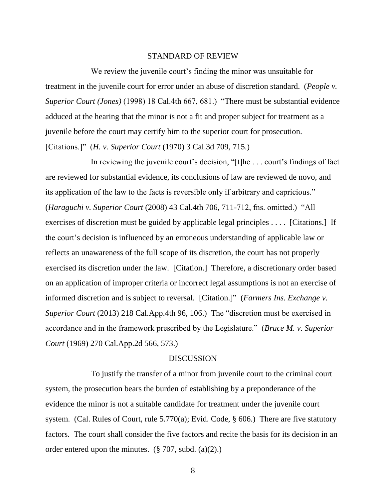#### STANDARD OF REVIEW

We review the juvenile court's finding the minor was unsuitable for treatment in the juvenile court for error under an abuse of discretion standard. (*People v. Superior Court (Jones)* (1998) 18 Cal.4th 667, 681.) "There must be substantial evidence adduced at the hearing that the minor is not a fit and proper subject for treatment as a juvenile before the court may certify him to the superior court for prosecution. [Citations.]" (*H. v. Superior Court* (1970) 3 Cal.3d 709, 715.)

In reviewing the juvenile court's decision, "[t]he . . . court's findings of fact are reviewed for substantial evidence, its conclusions of law are reviewed de novo, and its application of the law to the facts is reversible only if arbitrary and capricious." (*Haraguchi v. Superior Court* (2008) 43 Cal.4th 706, 711-712, fns. omitted.) "All exercises of discretion must be guided by applicable legal principles . . . . [Citations.] If the court's decision is influenced by an erroneous understanding of applicable law or reflects an unawareness of the full scope of its discretion, the court has not properly exercised its discretion under the law. [Citation.] Therefore, a discretionary order based on an application of improper criteria or incorrect legal assumptions is not an exercise of informed discretion and is subject to reversal. [Citation.]" (*Farmers Ins. Exchange v. Superior Court* (2013) 218 Cal.App.4th 96, 106.) The "discretion must be exercised in accordance and in the framework prescribed by the Legislature." (*Bruce M. v. Superior Court* (1969) 270 Cal.App.2d 566, 573.)

#### **DISCUSSION**

To justify the transfer of a minor from juvenile court to the criminal court system, the prosecution bears the burden of establishing by a preponderance of the evidence the minor is not a suitable candidate for treatment under the juvenile court system. (Cal. Rules of Court, rule 5.770(a); Evid. Code, § 606.) There are five statutory factors. The court shall consider the five factors and recite the basis for its decision in an order entered upon the minutes.  $(\S 707, \text{subd.} (a)(2))$ .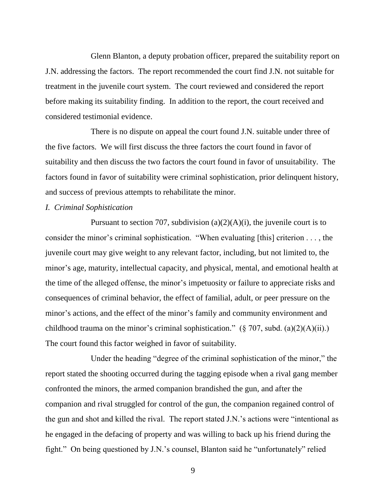Glenn Blanton, a deputy probation officer, prepared the suitability report on J.N. addressing the factors. The report recommended the court find J.N. not suitable for treatment in the juvenile court system. The court reviewed and considered the report before making its suitability finding. In addition to the report, the court received and considered testimonial evidence.

There is no dispute on appeal the court found J.N. suitable under three of the five factors. We will first discuss the three factors the court found in favor of suitability and then discuss the two factors the court found in favor of unsuitability. The factors found in favor of suitability were criminal sophistication, prior delinquent history, and success of previous attempts to rehabilitate the minor.

# *I. Criminal Sophistication*

Pursuant to section 707, subdivision  $(a)(2)(A)(i)$ , the juvenile court is to consider the minor's criminal sophistication. "When evaluating [this] criterion . . . , the juvenile court may give weight to any relevant factor, including, but not limited to, the minor's age, maturity, intellectual capacity, and physical, mental, and emotional health at the time of the alleged offense, the minor's impetuosity or failure to appreciate risks and consequences of criminal behavior, the effect of familial, adult, or peer pressure on the minor's actions, and the effect of the minor's family and community environment and childhood trauma on the minor's criminal sophistication."  $(\S 707, \text{subd. (a)}(2)(A)(ii))$ . The court found this factor weighed in favor of suitability.

Under the heading "degree of the criminal sophistication of the minor," the report stated the shooting occurred during the tagging episode when a rival gang member confronted the minors, the armed companion brandished the gun, and after the companion and rival struggled for control of the gun, the companion regained control of the gun and shot and killed the rival. The report stated J.N.'s actions were "intentional as he engaged in the defacing of property and was willing to back up his friend during the fight." On being questioned by J.N.'s counsel, Blanton said he "unfortunately" relied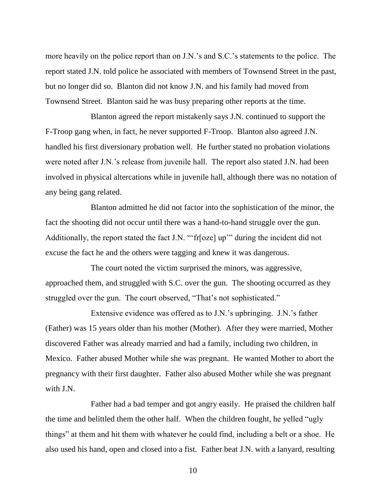more heavily on the police report than on J.N.'s and S.C.'s statements to the police. The report stated J.N. told police he associated with members of Townsend Street in the past, but no longer did so. Blanton did not know J.N. and his family had moved from Townsend Street. Blanton said he was busy preparing other reports at the time.

Blanton agreed the report mistakenly says J.N. continued to support the F-Troop gang when, in fact, he never supported F-Troop. Blanton also agreed J.N. handled his first diversionary probation well. He further stated no probation violations were noted after J.N.'s release from juvenile hall. The report also stated J.N. had been involved in physical altercations while in juvenile hall, although there was no notation of any being gang related.

Blanton admitted he did not factor into the sophistication of the minor, the fact the shooting did not occur until there was a hand-to-hand struggle over the gun. Additionally, the report stated the fact J.N. "'fr[oze] up'" during the incident did not excuse the fact he and the others were tagging and knew it was dangerous.

The court noted the victim surprised the minors, was aggressive, approached them, and struggled with S.C. over the gun. The shooting occurred as they struggled over the gun. The court observed, "That's not sophisticated."

Extensive evidence was offered as to J.N.'s upbringing. J.N.'s father (Father) was 15 years older than his mother (Mother). After they were married, Mother discovered Father was already married and had a family, including two children, in Mexico. Father abused Mother while she was pregnant. He wanted Mother to abort the pregnancy with their first daughter. Father also abused Mother while she was pregnant with J.N.

Father had a bad temper and got angry easily. He praised the children half the time and belittled them the other half. When the children fought, he yelled "ugly things" at them and hit them with whatever he could find, including a belt or a shoe. He also used his hand, open and closed into a fist. Father beat J.N. with a lanyard, resulting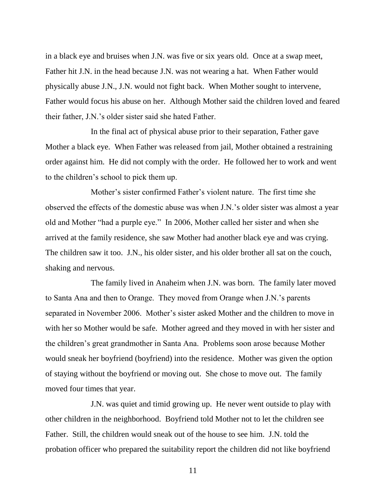in a black eye and bruises when J.N. was five or six years old. Once at a swap meet, Father hit J.N. in the head because J.N. was not wearing a hat. When Father would physically abuse J.N., J.N. would not fight back. When Mother sought to intervene, Father would focus his abuse on her. Although Mother said the children loved and feared their father, J.N.'s older sister said she hated Father.

In the final act of physical abuse prior to their separation, Father gave Mother a black eye. When Father was released from jail, Mother obtained a restraining order against him. He did not comply with the order. He followed her to work and went to the children's school to pick them up.

Mother's sister confirmed Father's violent nature. The first time she observed the effects of the domestic abuse was when J.N.'s older sister was almost a year old and Mother "had a purple eye." In 2006, Mother called her sister and when she arrived at the family residence, she saw Mother had another black eye and was crying. The children saw it too. J.N., his older sister, and his older brother all sat on the couch, shaking and nervous.

The family lived in Anaheim when J.N. was born. The family later moved to Santa Ana and then to Orange. They moved from Orange when J.N.'s parents separated in November 2006. Mother's sister asked Mother and the children to move in with her so Mother would be safe. Mother agreed and they moved in with her sister and the children's great grandmother in Santa Ana. Problems soon arose because Mother would sneak her boyfriend (boyfriend) into the residence. Mother was given the option of staying without the boyfriend or moving out. She chose to move out. The family moved four times that year.

J.N. was quiet and timid growing up. He never went outside to play with other children in the neighborhood. Boyfriend told Mother not to let the children see Father. Still, the children would sneak out of the house to see him. J.N. told the probation officer who prepared the suitability report the children did not like boyfriend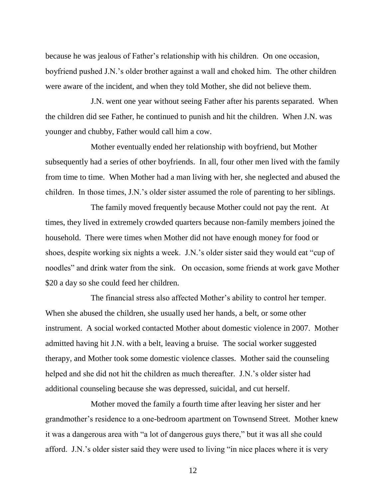because he was jealous of Father's relationship with his children. On one occasion, boyfriend pushed J.N.'s older brother against a wall and choked him. The other children were aware of the incident, and when they told Mother, she did not believe them.

J.N. went one year without seeing Father after his parents separated. When the children did see Father, he continued to punish and hit the children. When J.N. was younger and chubby, Father would call him a cow.

Mother eventually ended her relationship with boyfriend, but Mother subsequently had a series of other boyfriends. In all, four other men lived with the family from time to time. When Mother had a man living with her, she neglected and abused the children. In those times, J.N.'s older sister assumed the role of parenting to her siblings.

The family moved frequently because Mother could not pay the rent. At times, they lived in extremely crowded quarters because non-family members joined the household. There were times when Mother did not have enough money for food or shoes, despite working six nights a week. J.N.'s older sister said they would eat "cup of noodles" and drink water from the sink. On occasion, some friends at work gave Mother \$20 a day so she could feed her children.

The financial stress also affected Mother's ability to control her temper. When she abused the children, she usually used her hands, a belt, or some other instrument. A social worked contacted Mother about domestic violence in 2007. Mother admitted having hit J.N. with a belt, leaving a bruise. The social worker suggested therapy, and Mother took some domestic violence classes. Mother said the counseling helped and she did not hit the children as much thereafter. J.N.'s older sister had additional counseling because she was depressed, suicidal, and cut herself.

Mother moved the family a fourth time after leaving her sister and her grandmother's residence to a one-bedroom apartment on Townsend Street. Mother knew it was a dangerous area with "a lot of dangerous guys there," but it was all she could afford. J.N.'s older sister said they were used to living "in nice places where it is very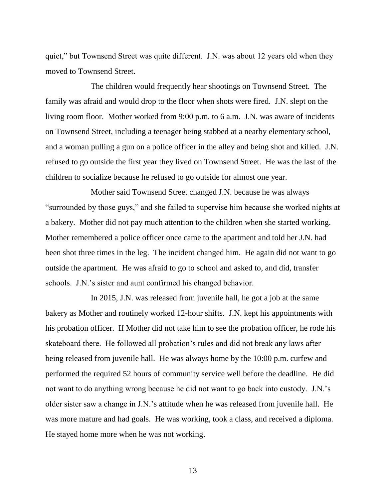quiet," but Townsend Street was quite different. J.N. was about 12 years old when they moved to Townsend Street.

The children would frequently hear shootings on Townsend Street. The family was afraid and would drop to the floor when shots were fired. J.N. slept on the living room floor. Mother worked from 9:00 p.m. to 6 a.m. J.N. was aware of incidents on Townsend Street, including a teenager being stabbed at a nearby elementary school, and a woman pulling a gun on a police officer in the alley and being shot and killed. J.N. refused to go outside the first year they lived on Townsend Street. He was the last of the children to socialize because he refused to go outside for almost one year.

Mother said Townsend Street changed J.N. because he was always "surrounded by those guys," and she failed to supervise him because she worked nights at a bakery. Mother did not pay much attention to the children when she started working. Mother remembered a police officer once came to the apartment and told her J.N. had been shot three times in the leg. The incident changed him. He again did not want to go outside the apartment. He was afraid to go to school and asked to, and did, transfer schools. J.N.'s sister and aunt confirmed his changed behavior.

In 2015, J.N. was released from juvenile hall, he got a job at the same bakery as Mother and routinely worked 12-hour shifts. J.N. kept his appointments with his probation officer. If Mother did not take him to see the probation officer, he rode his skateboard there. He followed all probation's rules and did not break any laws after being released from juvenile hall. He was always home by the 10:00 p.m. curfew and performed the required 52 hours of community service well before the deadline. He did not want to do anything wrong because he did not want to go back into custody. J.N.'s older sister saw a change in J.N.'s attitude when he was released from juvenile hall. He was more mature and had goals. He was working, took a class, and received a diploma. He stayed home more when he was not working.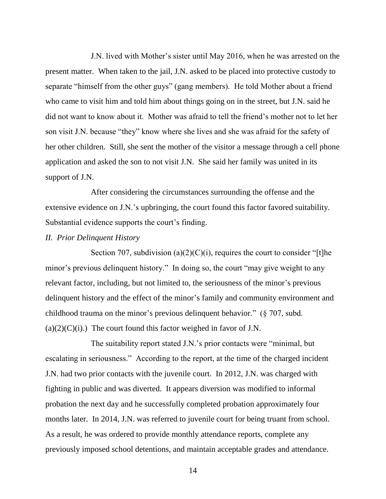J.N. lived with Mother's sister until May 2016, when he was arrested on the present matter.When taken to the jail, J.N. asked to be placed into protective custody to separate "himself from the other guys" (gang members). He told Mother about a friend who came to visit him and told him about things going on in the street, but J.N. said he did not want to know about it. Mother was afraid to tell the friend's mother not to let her son visit J.N. because "they" know where she lives and she was afraid for the safety of her other children. Still, she sent the mother of the visitor a message through a cell phone application and asked the son to not visit J.N. She said her family was united in its support of J.N.

After considering the circumstances surrounding the offense and the extensive evidence on J.N.'s upbringing, the court found this factor favored suitability. Substantial evidence supports the court's finding.

#### *II. Prior Delinquent History*

Section 707, subdivision (a)(2)(C)(i), requires the court to consider "[t]he minor's previous delinquent history." In doing so, the court "may give weight to any relevant factor, including, but not limited to, the seriousness of the minor's previous delinquent history and the effect of the minor's family and community environment and childhood trauma on the minor's previous delinquent behavior." (§ 707, subd.  $(a)(2)(C)(i)$ .) The court found this factor weighed in favor of J.N.

The suitability report stated J.N.'s prior contacts were "minimal, but escalating in seriousness." According to the report, at the time of the charged incident J.N. had two prior contacts with the juvenile court. In 2012, J.N. was charged with fighting in public and was diverted. It appears diversion was modified to informal probation the next day and he successfully completed probation approximately four months later. In 2014, J.N. was referred to juvenile court for being truant from school. As a result, he was ordered to provide monthly attendance reports, complete any previously imposed school detentions, and maintain acceptable grades and attendance.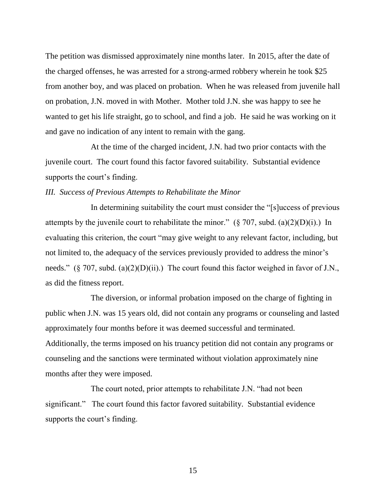The petition was dismissed approximately nine months later. In 2015, after the date of the charged offenses, he was arrested for a strong-armed robbery wherein he took \$25 from another boy, and was placed on probation. When he was released from juvenile hall on probation, J.N. moved in with Mother. Mother told J.N. she was happy to see he wanted to get his life straight, go to school, and find a job. He said he was working on it and gave no indication of any intent to remain with the gang.

At the time of the charged incident, J.N. had two prior contacts with the juvenile court. The court found this factor favored suitability. Substantial evidence supports the court's finding.

#### *III. Success of Previous Attempts to Rehabilitate the Minor*

In determining suitability the court must consider the "[s]uccess of previous attempts by the juvenile court to rehabilitate the minor."  $(\S 707, \text{subd. (a)(2)(D)(i)}$ .) In evaluating this criterion, the court "may give weight to any relevant factor, including, but not limited to, the adequacy of the services previously provided to address the minor's needs." (§ 707, subd. (a)(2)(D)(ii).) The court found this factor weighed in favor of J.N., as did the fitness report.

The diversion, or informal probation imposed on the charge of fighting in public when J.N. was 15 years old, did not contain any programs or counseling and lasted approximately four months before it was deemed successful and terminated. Additionally, the terms imposed on his truancy petition did not contain any programs or counseling and the sanctions were terminated without violation approximately nine months after they were imposed.

The court noted, prior attempts to rehabilitate J.N. "had not been significant." The court found this factor favored suitability. Substantial evidence supports the court's finding.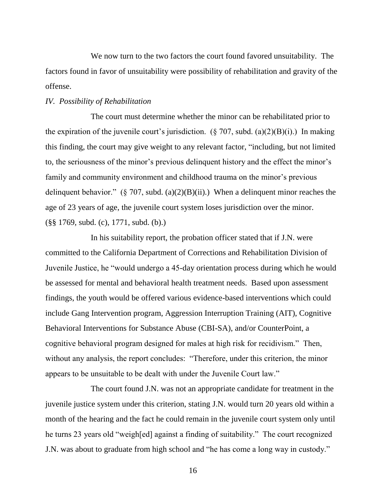We now turn to the two factors the court found favored unsuitability. The factors found in favor of unsuitability were possibility of rehabilitation and gravity of the offense.

#### *IV. Possibility of Rehabilitation*

The court must determine whether the minor can be rehabilitated prior to the expiration of the juvenile court's jurisdiction. (§ 707, subd. (a)(2)(B)(i).) In making this finding, the court may give weight to any relevant factor, "including, but not limited to, the seriousness of the minor's previous delinquent history and the effect the minor's family and community environment and childhood trauma on the minor's previous delinquent behavior." (§ 707, subd. (a)(2)(B)(ii).) When a delinquent minor reaches the age of 23 years of age, the juvenile court system loses jurisdiction over the minor. (§§ 1769, subd. (c), 1771, subd. (b).)

In his suitability report, the probation officer stated that if J.N. were committed to the California Department of Corrections and Rehabilitation Division of Juvenile Justice, he "would undergo a 45-day orientation process during which he would be assessed for mental and behavioral health treatment needs. Based upon assessment findings, the youth would be offered various evidence-based interventions which could include Gang Intervention program, Aggression Interruption Training (AIT), Cognitive Behavioral Interventions for Substance Abuse (CBI-SA), and/or CounterPoint, a cognitive behavioral program designed for males at high risk for recidivism." Then, without any analysis, the report concludes: "Therefore, under this criterion, the minor appears to be unsuitable to be dealt with under the Juvenile Court law."

The court found J.N. was not an appropriate candidate for treatment in the juvenile justice system under this criterion, stating J.N. would turn 20 years old within a month of the hearing and the fact he could remain in the juvenile court system only until he turns 23 years old "weigh[ed] against a finding of suitability." The court recognized J.N. was about to graduate from high school and "he has come a long way in custody."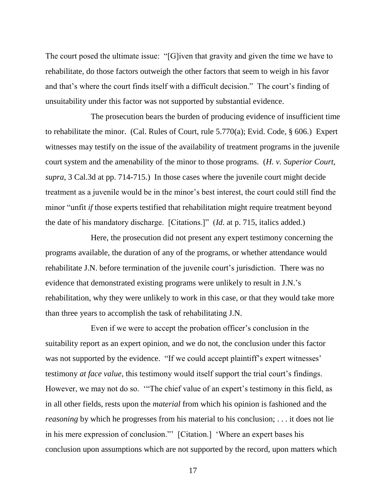The court posed the ultimate issue: "[G]iven that gravity and given the time we have to rehabilitate, do those factors outweigh the other factors that seem to weigh in his favor and that's where the court finds itself with a difficult decision." The court's finding of unsuitability under this factor was not supported by substantial evidence.

The prosecution bears the burden of producing evidence of insufficient time to rehabilitate the minor. (Cal. Rules of Court, rule 5.770(a); Evid. Code, § 606.) Expert witnesses may testify on the issue of the availability of treatment programs in the juvenile court system and the amenability of the minor to those programs. (*H. v. Superior Court*, *supra*, 3 Cal.3d at pp. 714-715.) In those cases where the juvenile court might decide treatment as a juvenile would be in the minor's best interest, the court could still find the minor "unfit *if* those experts testified that rehabilitation might require treatment beyond the date of his mandatory discharge. [Citations.]" (*Id*. at p. 715, italics added.)

Here, the prosecution did not present any expert testimony concerning the programs available, the duration of any of the programs, or whether attendance would rehabilitate J.N. before termination of the juvenile court's jurisdiction. There was no evidence that demonstrated existing programs were unlikely to result in J.N.'s rehabilitation, why they were unlikely to work in this case, or that they would take more than three years to accomplish the task of rehabilitating J.N.

Even if we were to accept the probation officer's conclusion in the suitability report as an expert opinion, and we do not, the conclusion under this factor was not supported by the evidence. "If we could accept plaintiff's expert witnesses' testimony *at face value*, this testimony would itself support the trial court's findings. However, we may not do so. '"The chief value of an expert's testimony in this field, as in all other fields, rests upon the *material* from which his opinion is fashioned and the *reasoning* by which he progresses from his material to his conclusion; . . . it does not lie in his mere expression of conclusion."' [Citation.] 'Where an expert bases his conclusion upon assumptions which are not supported by the record, upon matters which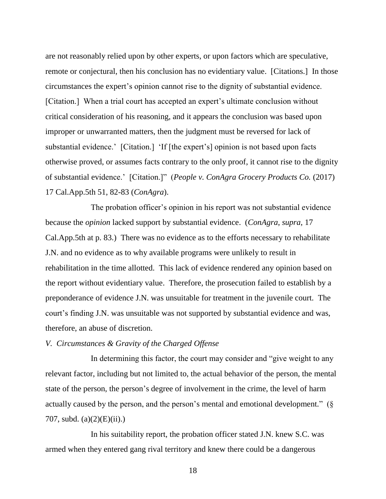are not reasonably relied upon by other experts, or upon factors which are speculative, remote or conjectural, then his conclusion has no evidentiary value. [Citations.] In those circumstances the expert's opinion cannot rise to the dignity of substantial evidence. [Citation.] When a trial court has accepted an expert's ultimate conclusion without critical consideration of his reasoning, and it appears the conclusion was based upon improper or unwarranted matters, then the judgment must be reversed for lack of substantial evidence.' [Citation.] 'If [the expert's] opinion is not based upon facts otherwise proved, or assumes facts contrary to the only proof, it cannot rise to the dignity of substantial evidence.' [Citation.]" (*People v. ConAgra Grocery Products Co.* (2017) 17 Cal.App.5th 51, 82-83 (*ConAgra*).

The probation officer's opinion in his report was not substantial evidence because the *opinion* lacked support by substantial evidence. (*ConAgra*, *supra*, 17 Cal.App.5th at p. 83.) There was no evidence as to the efforts necessary to rehabilitate J.N. and no evidence as to why available programs were unlikely to result in rehabilitation in the time allotted. This lack of evidence rendered any opinion based on the report without evidentiary value. Therefore, the prosecution failed to establish by a preponderance of evidence J.N. was unsuitable for treatment in the juvenile court. The court's finding J.N. was unsuitable was not supported by substantial evidence and was, therefore, an abuse of discretion.

# *V. Circumstances & Gravity of the Charged Offense*

In determining this factor, the court may consider and "give weight to any relevant factor, including but not limited to, the actual behavior of the person, the mental state of the person, the person's degree of involvement in the crime, the level of harm actually caused by the person, and the person's mental and emotional development." (§ 707, subd.  $(a)(2)(E)(ii)$ .

In his suitability report, the probation officer stated J.N. knew S.C. was armed when they entered gang rival territory and knew there could be a dangerous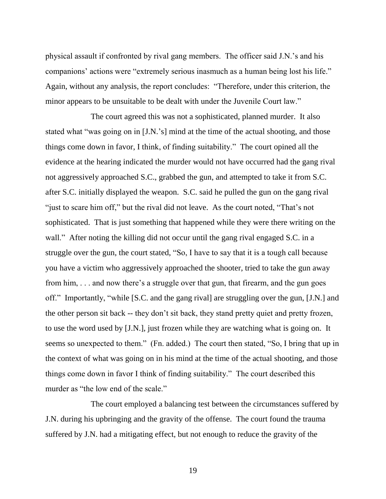physical assault if confronted by rival gang members. The officer said J.N.'s and his companions' actions were "extremely serious inasmuch as a human being lost his life." Again, without any analysis, the report concludes: "Therefore, under this criterion, the minor appears to be unsuitable to be dealt with under the Juvenile Court law."

The court agreed this was not a sophisticated, planned murder. It also stated what "was going on in [J.N.'s] mind at the time of the actual shooting, and those things come down in favor, I think, of finding suitability." The court opined all the evidence at the hearing indicated the murder would not have occurred had the gang rival not aggressively approached S.C., grabbed the gun, and attempted to take it from S.C. after S.C. initially displayed the weapon. S.C. said he pulled the gun on the gang rival "just to scare him off," but the rival did not leave. As the court noted, "That's not sophisticated. That is just something that happened while they were there writing on the wall." After noting the killing did not occur until the gang rival engaged S.C. in a struggle over the gun, the court stated, "So, I have to say that it is a tough call because you have a victim who aggressively approached the shooter, tried to take the gun away from him, . . . and now there's a struggle over that gun, that firearm, and the gun goes off." Importantly, "while [S.C. and the gang rival] are struggling over the gun, [J.N.] and the other person sit back -- they don't sit back, they stand pretty quiet and pretty frozen, to use the word used by [J.N.], just frozen while they are watching what is going on. It seems so unexpected to them." (Fn. added.) The court then stated, "So, I bring that up in the context of what was going on in his mind at the time of the actual shooting, and those things come down in favor I think of finding suitability." The court described this murder as "the low end of the scale."

The court employed a balancing test between the circumstances suffered by J.N. during his upbringing and the gravity of the offense. The court found the trauma suffered by J.N. had a mitigating effect, but not enough to reduce the gravity of the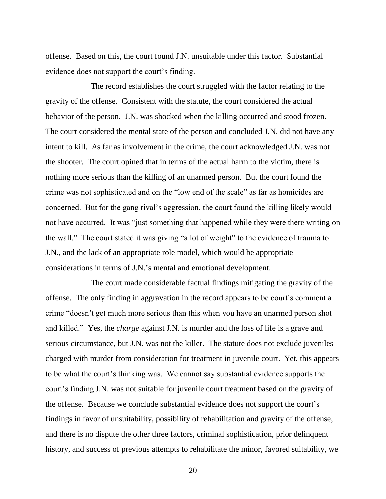offense. Based on this, the court found J.N. unsuitable under this factor. Substantial evidence does not support the court's finding.

The record establishes the court struggled with the factor relating to the gravity of the offense. Consistent with the statute, the court considered the actual behavior of the person. J.N. was shocked when the killing occurred and stood frozen. The court considered the mental state of the person and concluded J.N. did not have any intent to kill. As far as involvement in the crime, the court acknowledged J.N. was not the shooter. The court opined that in terms of the actual harm to the victim, there is nothing more serious than the killing of an unarmed person. But the court found the crime was not sophisticated and on the "low end of the scale" as far as homicides are concerned. But for the gang rival's aggression, the court found the killing likely would not have occurred. It was "just something that happened while they were there writing on the wall." The court stated it was giving "a lot of weight" to the evidence of trauma to J.N., and the lack of an appropriate role model, which would be appropriate considerations in terms of J.N.'s mental and emotional development.

The court made considerable factual findings mitigating the gravity of the offense. The only finding in aggravation in the record appears to be court's comment a crime "doesn't get much more serious than this when you have an unarmed person shot and killed." Yes, the *charge* against J.N. is murder and the loss of life is a grave and serious circumstance, but J.N. was not the killer. The statute does not exclude juveniles charged with murder from consideration for treatment in juvenile court. Yet, this appears to be what the court's thinking was. We cannot say substantial evidence supports the court's finding J.N. was not suitable for juvenile court treatment based on the gravity of the offense. Because we conclude substantial evidence does not support the court's findings in favor of unsuitability, possibility of rehabilitation and gravity of the offense, and there is no dispute the other three factors, criminal sophistication, prior delinquent history, and success of previous attempts to rehabilitate the minor, favored suitability, we